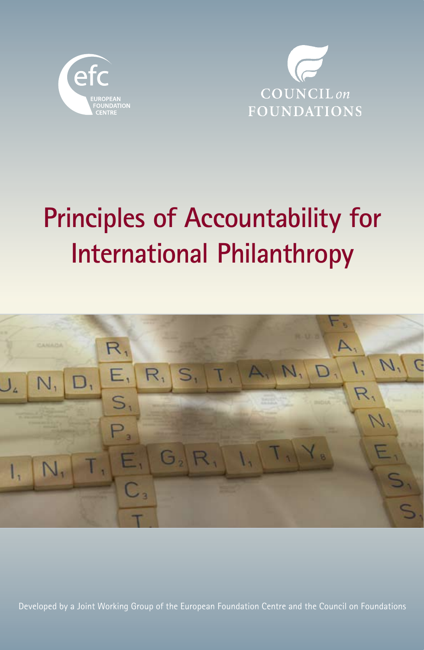



# **Principles of Accountability for International Philanthropy**



Developed by a Joint Working Group of the European Foundation Centre and the Council on Foundations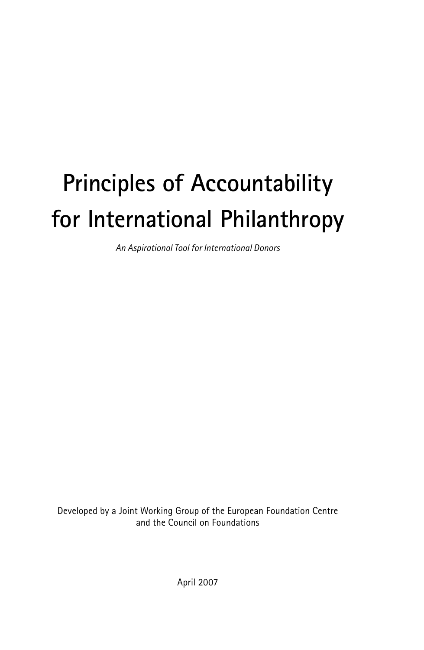## **Principles of Accountability for International Philanthropy**

*An Aspirational Tool for International Donors*

Developed by a Joint Working Group of the European Foundation Centre and the Council on Foundations

April 2007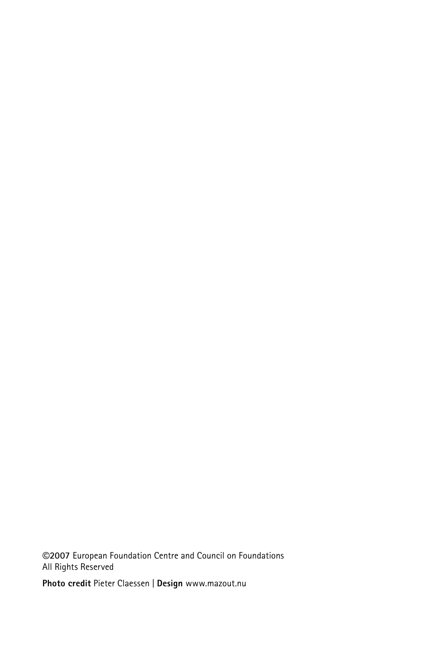**©2007** European Foundation Centre and Council on Foundations All Rights Reserved

**Photo credit** Pieter Claessen | **Design** www.mazout.nu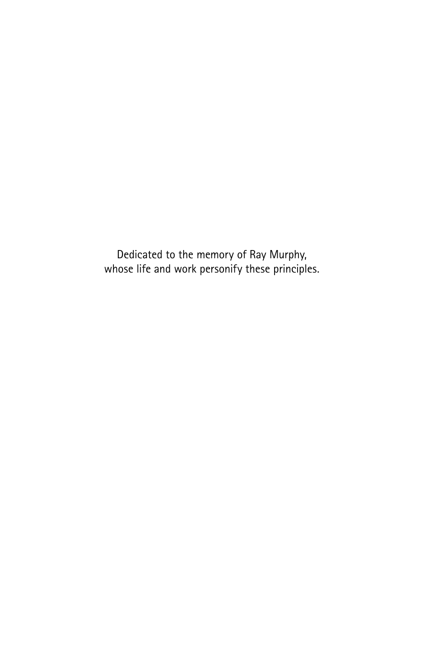Dedicated to the memory of Ray Murphy, whose life and work personify these principles.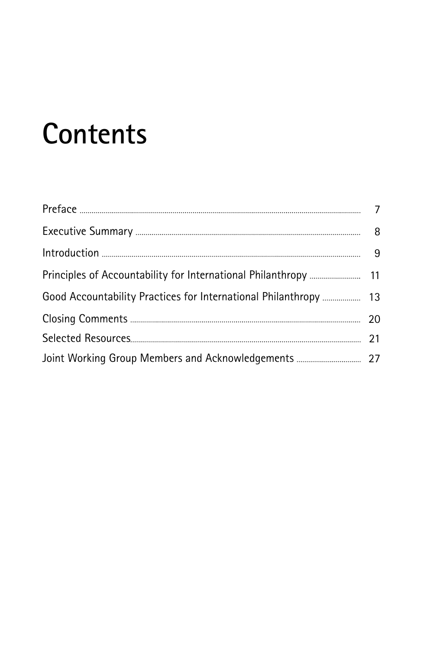## **Contents**

| Good Accountability Practices for International Philanthropy  13 |  |
|------------------------------------------------------------------|--|
|                                                                  |  |
|                                                                  |  |
|                                                                  |  |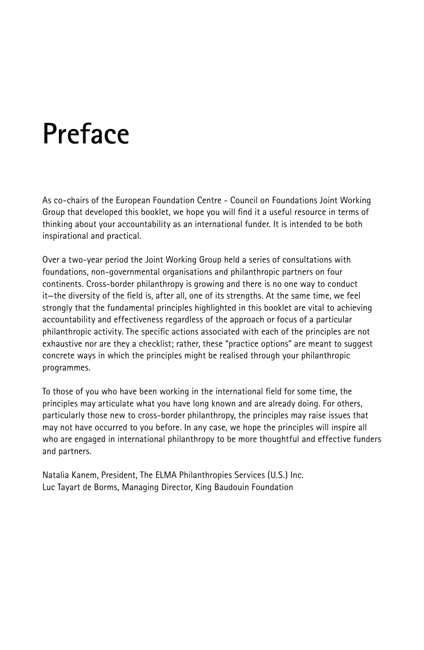## **Preface**

As co-chairs of the European Foundation Centre - Council on Foundations Joint Working Group that developed this booklet, we hope you will find it a useful resource in terms of thinking about your accountability as an international funder. It is intended to be both inspirational and practical.

Over a two-year period the Joint Working Group held a series of consultations with foundations, non-governmental organisations and philanthropic partners on four continents. Cross-border philanthropy is growing and there is no one way to conduct it—the diversity of the field is, after all, one of its strengths. At the same time, we feel strongly that the fundamental principles highlighted in this booklet are vital to achieving accountability and effectiveness regardless of the approach or focus of a particular philanthropic activity. The specific actions associated with each of the principles are not exhaustive nor are they a checklist; rather, these "practice options" are meant to suggest concrete ways in which the principles might be realised through your philanthropic programmes.

To those of you who have been working in the international field for some time, the principles may articulate what you have long known and are already doing. For others, particularly those new to cross-border philanthropy, the principles may raise issues that may not have occurred to you before. In any case, we hope the principles will inspire all who are engaged in international philanthropy to be more thoughtful and effective funders and partners.

Natalia Kanem, President, The ELMA Philanthropies Services (U.S.) Inc. Luc Tayart de Borms, Managing Director, King Baudouin Foundation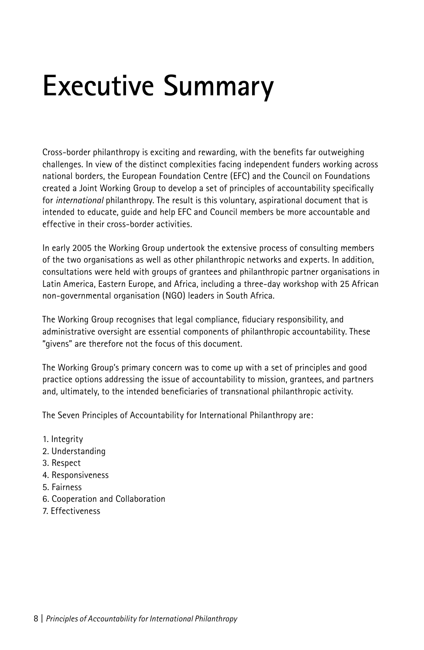# **Executive Summary**

Cross-border philanthropy is exciting and rewarding, with the benefits far outweighing challenges. In view of the distinct complexities facing independent funders working across national borders, the European Foundation Centre (EFC) and the Council on Foundations created a Joint Working Group to develop a set of principles of accountability specifically for *international* philanthropy. The result is this voluntary, aspirational document that is intended to educate, guide and help EFC and Council members be more accountable and effective in their cross-border activities.

In early 2005 the Working Group undertook the extensive process of consulting members of the two organisations as well as other philanthropic networks and experts. In addition, consultations were held with groups of grantees and philanthropic partner organisations in Latin America, Eastern Europe, and Africa, including a three-day workshop with 25 African non-governmental organisation (NGO) leaders in South Africa.

The Working Group recognises that legal compliance, fiduciary responsibility, and administrative oversight are essential components of philanthropic accountability. These "givens" are therefore not the focus of this document.

The Working Group's primary concern was to come up with a set of principles and good practice options addressing the issue of accountability to mission, grantees, and partners and, ultimately, to the intended beneficiaries of transnational philanthropic activity.

The Seven Principles of Accountability for International Philanthropy are:

- 1. Integrity
- 2. Understanding
- 3. Respect
- 4. Responsiveness
- 5. Fairness
- 6. Cooperation and Collaboration
- 7. Effectiveness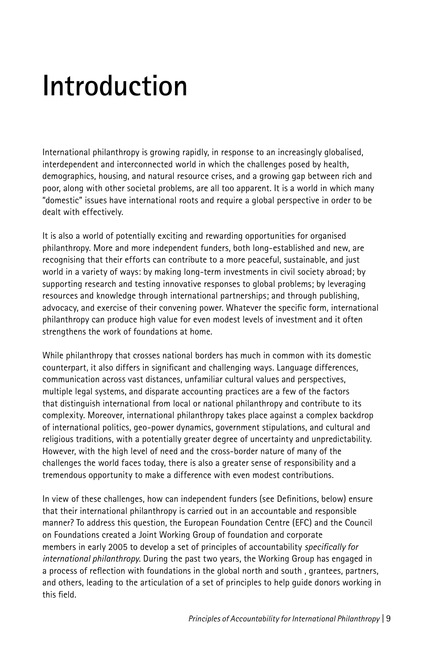# **Introduction**

International philanthropy is growing rapidly, in response to an increasingly globalised, interdependent and interconnected world in which the challenges posed by health, demographics, housing, and natural resource crises, and a growing gap between rich and poor, along with other societal problems, are all too apparent. It is a world in which many "domestic" issues have international roots and require a global perspective in order to be dealt with effectively.

It is also a world of potentially exciting and rewarding opportunities for organised philanthropy. More and more independent funders, both long-established and new, are recognising that their efforts can contribute to a more peaceful, sustainable, and just world in a variety of ways: by making long-term investments in civil society abroad; by supporting research and testing innovative responses to global problems; by leveraging resources and knowledge through international partnerships; and through publishing, advocacy, and exercise of their convening power. Whatever the specific form, international philanthropy can produce high value for even modest levels of investment and it often strengthens the work of foundations at home.

While philanthropy that crosses national borders has much in common with its domestic counterpart, it also differs in significant and challenging ways. Language differences, communication across vast distances, unfamiliar cultural values and perspectives, multiple legal systems, and disparate accounting practices are a few of the factors that distinguish international from local or national philanthropy and contribute to its complexity. Moreover, international philanthropy takes place against a complex backdrop of international politics, geo-power dynamics, government stipulations, and cultural and religious traditions, with a potentially greater degree of uncertainty and unpredictability. However, with the high level of need and the cross-border nature of many of the challenges the world faces today, there is also a greater sense of responsibility and a tremendous opportunity to make a difference with even modest contributions.

In view of these challenges, how can independent funders (see Definitions, below) ensure that their international philanthropy is carried out in an accountable and responsible manner? To address this question, the European Foundation Centre (EFC) and the Council on Foundations created a Joint Working Group of foundation and corporate members in early 2005 to develop a set of principles of accountability *specifically for international philanthropy*. During the past two years, the Working Group has engaged in a process of reflection with foundations in the global north and south , grantees, partners, and others, leading to the articulation of a set of principles to help guide donors working in this field.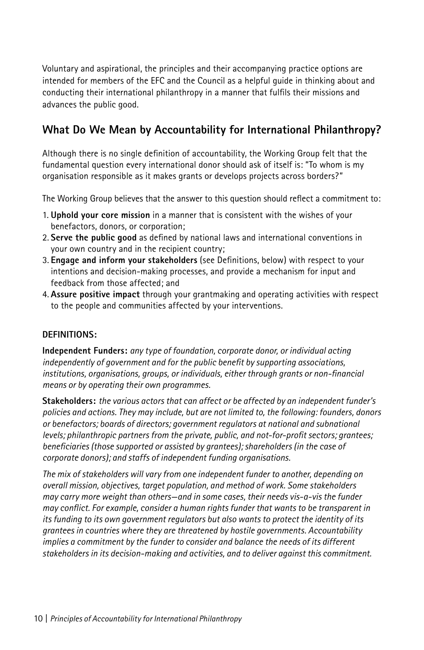Voluntary and aspirational, the principles and their accompanying practice options are intended for members of the EFC and the Council as a helpful guide in thinking about and conducting their international philanthropy in a manner that fulfils their missions and advances the public good.

## **What Do We Mean by Accountability for International Philanthropy?**

Although there is no single definition of accountability, the Working Group felt that the fundamental question every international donor should ask of itself is: "To whom is my organisation responsible as it makes grants or develops projects across borders?"

The Working Group believes that the answer to this question should reflect a commitment to:

- 1. **Uphold your core mission** in a manner that is consistent with the wishes of your benefactors, donors, or corporation;
- 2. **Serve the public good** as defined by national laws and international conventions in your own country and in the recipient country;
- 3. **Engage and inform your stakeholders** (see Definitions, below) with respect to your intentions and decision-making processes, and provide a mechanism for input and feedback from those affected; and
- 4. **Assure positive impact** through your grantmaking and operating activities with respect to the people and communities affected by your interventions.

#### **DEFINITIONS:**

**Independent Funders:** *any type of foundation, corporate donor, or individual acting independently of government and for the public benefit by supporting associations, institutions, organisations, groups, or individuals, either through grants or non-financial means or by operating their own programmes.*

**Stakeholders:** *the various actors that can affect or be affected by an independent funder's policies and actions. They may include, but are not limited to, the following: founders, donors or benefactors; boards of directors; government regulators at national and subnational levels; philanthropic partners from the private, public, and not-for-profit sectors; grantees; beneficiaries (those supported or assisted by grantees); shareholders (in the case of corporate donors); and staffs of independent funding organisations.*

*The mix of stakeholders will vary from one independent funder to another, depending on overall mission, objectives, target population, and method of work. Some stakeholders may carry more weight than others—and in some cases, their needs vis-a-vis the funder may conflict. For example, consider a human rights funder that wants to be transparent in its funding to its own government regulators but also wants to protect the identity of its grantees in countries where they are threatened by hostile governments. Accountability implies a commitment by the funder to consider and balance the needs of its different stakeholders in its decision-making and activities, and to deliver against this commitment.*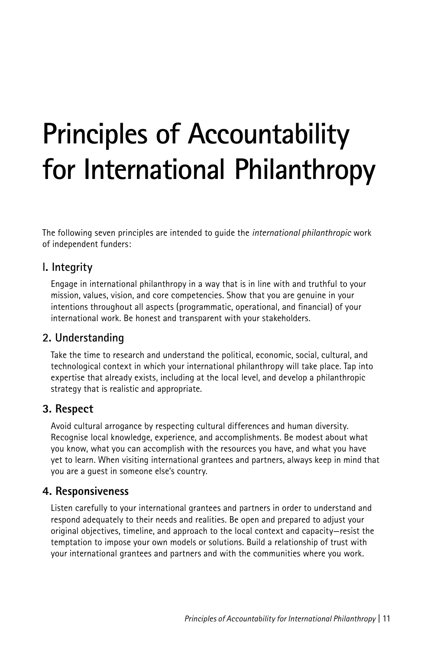# **Principles of Accountability for International Philanthropy**

The following seven principles are intended to guide the *international philanthropic* work of independent funders:

## **l. Integrity**

Engage in international philanthropy in a way that is in line with and truthful to your mission, values, vision, and core competencies. Show that you are genuine in your intentions throughout all aspects (programmatic, operational, and financial) of your international work. Be honest and transparent with your stakeholders.

## **2. Understanding**

Take the time to research and understand the political, economic, social, cultural, and technological context in which your international philanthropy will take place. Tap into expertise that already exists, including at the local level, and develop a philanthropic strategy that is realistic and appropriate.

## **3. Respect**

Avoid cultural arrogance by respecting cultural differences and human diversity. Recognise local knowledge, experience, and accomplishments. Be modest about what you know, what you can accomplish with the resources you have, and what you have yet to learn. When visiting international grantees and partners, always keep in mind that you are a guest in someone else's country.

## **4. Responsiveness**

Listen carefully to your international grantees and partners in order to understand and respond adequately to their needs and realities. Be open and prepared to adjust your original objectives, timeline, and approach to the local context and capacity—resist the temptation to impose your own models or solutions. Build a relationship of trust with your international grantees and partners and with the communities where you work.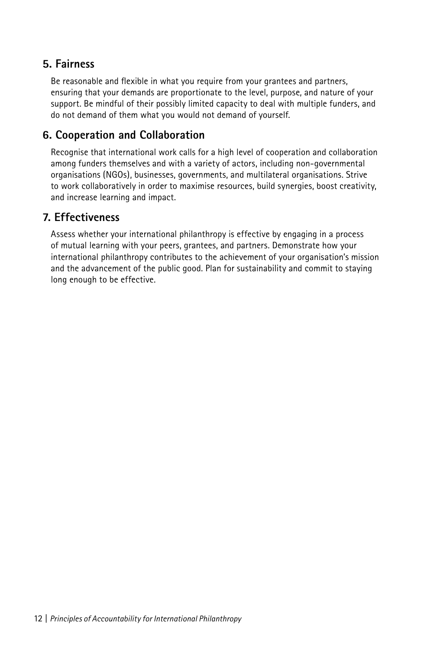## **5. Fairness**

Be reasonable and flexible in what you require from your grantees and partners, ensuring that your demands are proportionate to the level, purpose, and nature of your support. Be mindful of their possibly limited capacity to deal with multiple funders, and do not demand of them what you would not demand of yourself.

## **6. Cooperation and Collaboration**

Recognise that international work calls for a high level of cooperation and collaboration among funders themselves and with a variety of actors, including non-governmental organisations (NGOs), businesses, governments, and multilateral organisations. Strive to work collaboratively in order to maximise resources, build synergies, boost creativity, and increase learning and impact.

## **7. Effectiveness**

Assess whether your international philanthropy is effective by engaging in a process of mutual learning with your peers, grantees, and partners. Demonstrate how your international philanthropy contributes to the achievement of your organisation's mission and the advancement of the public good. Plan for sustainability and commit to staying long enough to be effective.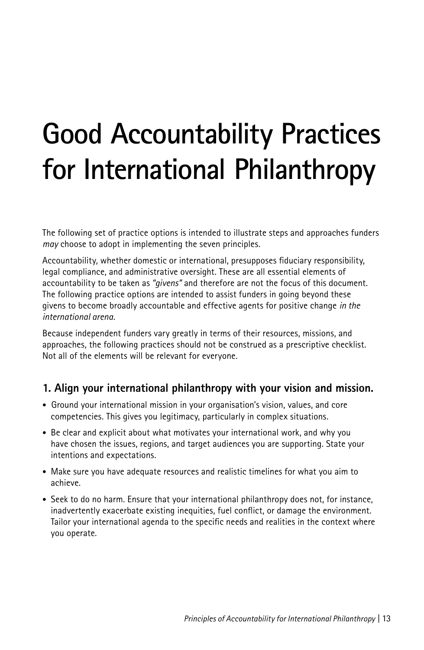# **Good Accountability Practices for International Philanthropy**

The following set of practice options is intended to illustrate steps and approaches funders *may* choose to adopt in implementing the seven principles.

Accountability, whether domestic or international, presupposes fiduciary responsibility, legal compliance, and administrative oversight. These are all essential elements of accountability to be taken as *"givens"* and therefore are not the focus of this document. The following practice options are intended to assist funders in going beyond these givens to become broadly accountable and effective agents for positive change *in the international arena.*

Because independent funders vary greatly in terms of their resources, missions, and approaches, the following practices should not be construed as a prescriptive checklist. Not all of the elements will be relevant for everyone.

## **1. Align your international philanthropy with your vision and mission.**

- Ground your international mission in your organisation's vision, values, and core competencies. This gives you legitimacy, particularly in complex situations.
- Be clear and explicit about what motivates your international work, and why you have chosen the issues, regions, and target audiences you are supporting. State your intentions and expectations.
- Make sure you have adequate resources and realistic timelines for what you aim to achieve.
- Seek to do no harm. Ensure that your international philanthropy does not, for instance, inadvertently exacerbate existing inequities, fuel conflict, or damage the environment. Tailor your international agenda to the specific needs and realities in the context where you operate.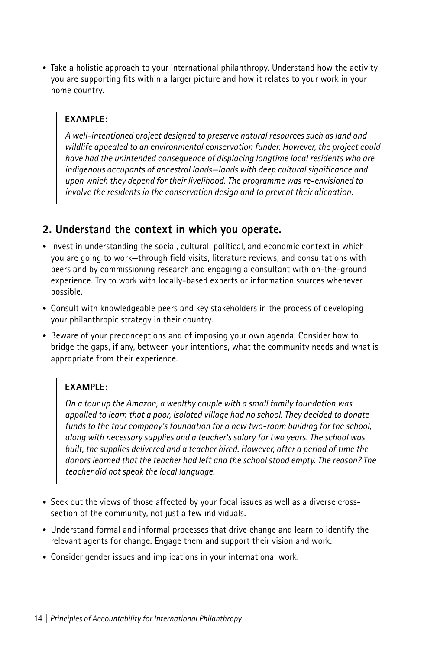• Take a holistic approach to your international philanthropy. Understand how the activity you are supporting fits within a larger picture and how it relates to your work in your home country.

#### **EXAMPLE:**

*A well-intentioned project designed to preserve natural resources such as land and wildlife appealed to an environmental conservation funder. However, the project could have had the unintended consequence of displacing longtime local residents who are indigenous occupants of ancestral lands—lands with deep cultural significance and upon which they depend for their livelihood. The programme was re-envisioned to involve the residents in the conservation design and to prevent their alienation.*

## **2. Understand the context in which you operate.**

- Invest in understanding the social, cultural, political, and economic context in which you are going to work—through field visits, literature reviews, and consultations with peers and by commissioning research and engaging a consultant with on-the-ground experience. Try to work with locally-based experts or information sources whenever possible.
- Consult with knowledgeable peers and key stakeholders in the process of developing your philanthropic strategy in their country.
- Beware of your preconceptions and of imposing your own agenda. Consider how to bridge the gaps, if any, between your intentions, what the community needs and what is appropriate from their experience.

## **EXAMPLE:**

*On a tour up the Amazon, a wealthy couple with a small family foundation was appalled to learn that a poor, isolated village had no school. They decided to donate funds to the tour company's foundation for a new two-room building for the school, along with necessary supplies and a teacher's salary for two years. The school was built, the supplies delivered and a teacher hired. However, after a period of time the donors learned that the teacher had left and the school stood empty. The reason? The teacher did not speak the local language.*

- Seek out the views of those affected by your focal issues as well as a diverse crosssection of the community, not just a few individuals.
- Understand formal and informal processes that drive change and learn to identify the relevant agents for change. Engage them and support their vision and work.
- Consider gender issues and implications in your international work.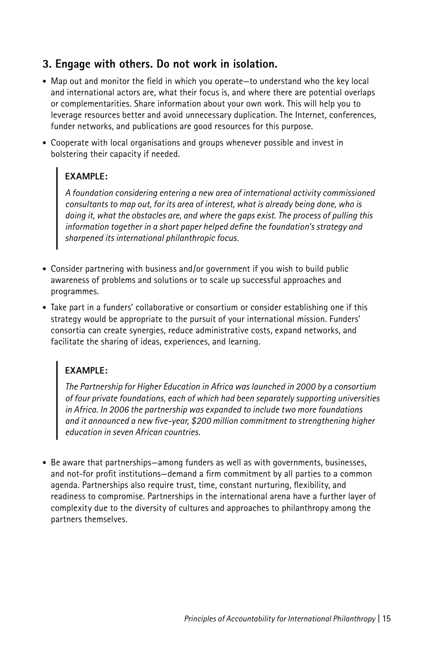## **3. Engage with others. Do not work in isolation.**

- Map out and monitor the field in which you operate—to understand who the key local and international actors are, what their focus is, and where there are potential overlaps or complementarities. Share information about your own work. This will help you to leverage resources better and avoid unnecessary duplication. The Internet, conferences, funder networks, and publications are good resources for this purpose.
- Cooperate with local organisations and groups whenever possible and invest in bolstering their capacity if needed.

## **EXAMPLE:**

*A foundation considering entering a new area of international activity commissioned consultants to map out, for its area of interest, what is already being done, who is doing it, what the obstacles are, and where the gaps exist. The process of pulling this information together in a short paper helped define the foundation's strategy and sharpened its international philanthropic focus.*

- Consider partnering with business and/or government if you wish to build public awareness of problems and solutions or to scale up successful approaches and programmes.
- Take part in a funders' collaborative or consortium or consider establishing one if this strategy would be appropriate to the pursuit of your international mission. Funders' consortia can create synergies, reduce administrative costs, expand networks, and facilitate the sharing of ideas, experiences, and learning.

## **EXAMPLE:**

*The Partnership for Higher Education in Africa was launched in 2000 by a consortium of four private foundations, each of which had been separately supporting universities in Africa. In 2006 the partnership was expanded to include two more foundations and it announced a new five-year, \$200 million commitment to strengthening higher education in seven African countries.*

• Be aware that partnerships—among funders as well as with governments, businesses, and not-for profit institutions—demand a firm commitment by all parties to a common agenda. Partnerships also require trust, time, constant nurturing, flexibility, and readiness to compromise. Partnerships in the international arena have a further layer of complexity due to the diversity of cultures and approaches to philanthropy among the partners themselves.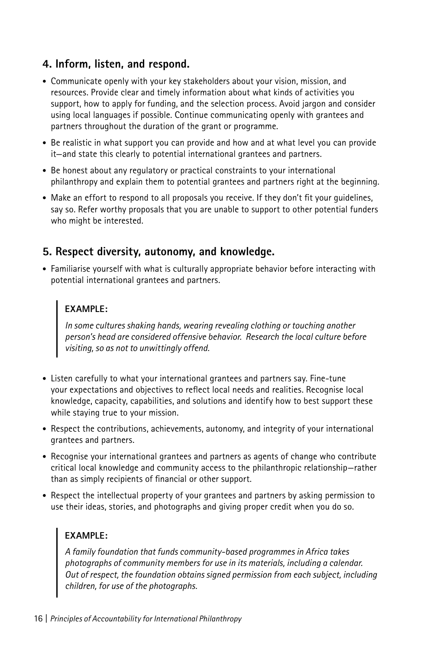## **4. Inform, listen, and respond.**

- Communicate openly with your key stakeholders about your vision, mission, and resources. Provide clear and timely information about what kinds of activities you support, how to apply for funding, and the selection process. Avoid jargon and consider using local languages if possible. Continue communicating openly with grantees and partners throughout the duration of the grant or programme.
- Be realistic in what support you can provide and how and at what level you can provide it—and state this clearly to potential international grantees and partners.
- Be honest about any regulatory or practical constraints to your international philanthropy and explain them to potential grantees and partners right at the beginning.
- Make an effort to respond to all proposals you receive. If they don't fit your guidelines, say so. Refer worthy proposals that you are unable to support to other potential funders who might be interested.

## **5. Respect diversity, autonomy, and knowledge.**

• Familiarise yourself with what is culturally appropriate behavior before interacting with potential international grantees and partners.

## **EXAMPLE:**

*In some cultures shaking hands, wearing revealing clothing or touching another person's head are considered offensive behavior. Research the local culture before visiting, so as not to unwittingly offend.*

- Listen carefully to what your international grantees and partners say. Fine-tune your expectations and objectives to reflect local needs and realities. Recognise local knowledge, capacity, capabilities, and solutions and identify how to best support these while staying true to your mission.
- Respect the contributions, achievements, autonomy, and integrity of your international grantees and partners.
- Recognise your international grantees and partners as agents of change who contribute critical local knowledge and community access to the philanthropic relationship—rather than as simply recipients of financial or other support.
- Respect the intellectual property of your grantees and partners by asking permission to use their ideas, stories, and photographs and giving proper credit when you do so.

## **EXAMPLE:**

*A family foundation that funds community-based programmes in Africa takes photographs of community members for use in its materials, including a calendar. Out of respect, the foundation obtains signed permission from each subject, including children, for use of the photographs.*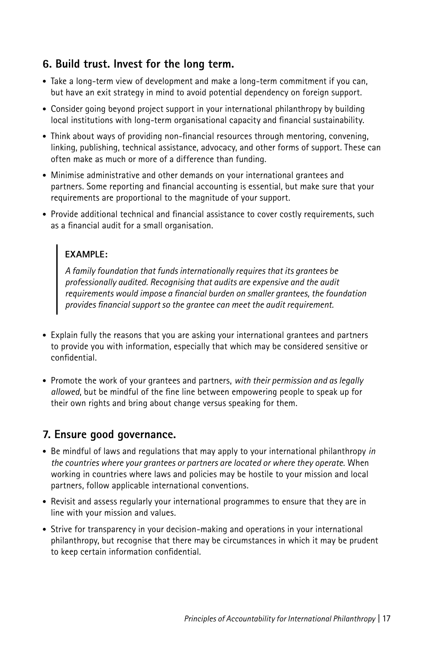## **6. Build trust. Invest for the long term.**

- Take a long-term view of development and make a long-term commitment if you can, but have an exit strategy in mind to avoid potential dependency on foreign support.
- Consider going beyond project support in your international philanthropy by building local institutions with long-term organisational capacity and financial sustainability.
- Think about ways of providing non-financial resources through mentoring, convening, linking, publishing, technical assistance, advocacy, and other forms of support. These can often make as much or more of a difference than funding.
- Minimise administrative and other demands on your international grantees and partners. Some reporting and financial accounting is essential, but make sure that your requirements are proportional to the magnitude of your support.
- Provide additional technical and financial assistance to cover costly requirements, such as a financial audit for a small organisation.

## **EXAMPLE:**

*A family foundation that funds internationally requires that its grantees be professionally audited. Recognising that audits are expensive and the audit requirements would impose a financial burden on smaller grantees, the foundation provides financial support so the grantee can meet the audit requirement.*

- Explain fully the reasons that you are asking your international grantees and partners to provide you with information, especially that which may be considered sensitive or confidential.
- Promote the work of your grantees and partners, *with their permission and as legally allowed*, but be mindful of the fine line between empowering people to speak up for their own rights and bring about change versus speaking for them.

## **7. Ensure good governance.**

- Be mindful of laws and regulations that may apply to your international philanthropy *in the countries where your grantees or partners are located or where they operate*. When working in countries where laws and policies may be hostile to your mission and local partners, follow applicable international conventions.
- Revisit and assess regularly your international programmes to ensure that they are in line with your mission and values.
- Strive for transparency in your decision-making and operations in your international philanthropy, but recognise that there may be circumstances in which it may be prudent to keep certain information confidential.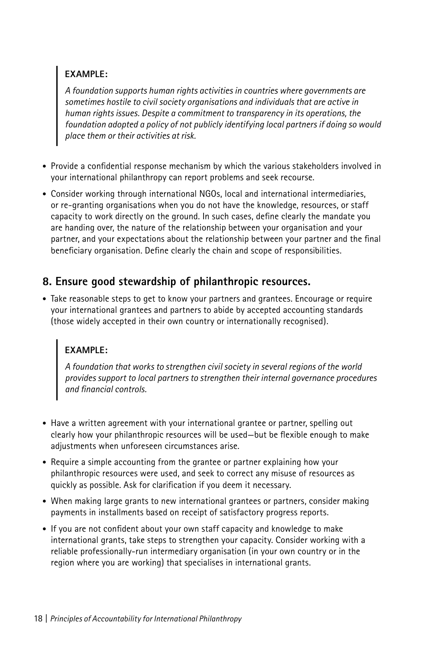## **EXAMPLE:**

*A foundation supports human rights activities in countries where governments are sometimes hostile to civil society organisations and individuals that are active in human rights issues. Despite a commitment to transparency in its operations, the foundation adopted a policy of not publicly identifying local partners if doing so would place them or their activities at risk.*

- Provide a confidential response mechanism by which the various stakeholders involved in your international philanthropy can report problems and seek recourse.
- Consider working through international NGOs, local and international intermediaries, or re-granting organisations when you do not have the knowledge, resources, or staff capacity to work directly on the ground. In such cases, define clearly the mandate you are handing over, the nature of the relationship between your organisation and your partner, and your expectations about the relationship between your partner and the final beneficiary organisation. Define clearly the chain and scope of responsibilities.

## **8. Ensure good stewardship of philanthropic resources.**

• Take reasonable steps to get to know your partners and grantees. Encourage or require your international grantees and partners to abide by accepted accounting standards (those widely accepted in their own country or internationally recognised).

## **EXAMPLE:**

*A foundation that works to strengthen civil society in several regions of the world provides support to local partners to strengthen their internal governance procedures and financial controls.*

- Have a written agreement with your international grantee or partner, spelling out clearly how your philanthropic resources will be used—but be flexible enough to make adjustments when unforeseen circumstances arise.
- Require a simple accounting from the grantee or partner explaining how your philanthropic resources were used, and seek to correct any misuse of resources as quickly as possible. Ask for clarification if you deem it necessary.
- When making large grants to new international grantees or partners, consider making payments in installments based on receipt of satisfactory progress reports.
- If you are not confident about your own staff capacity and knowledge to make international grants, take steps to strengthen your capacity. Consider working with a reliable professionally-run intermediary organisation (in your own country or in the region where you are working) that specialises in international grants.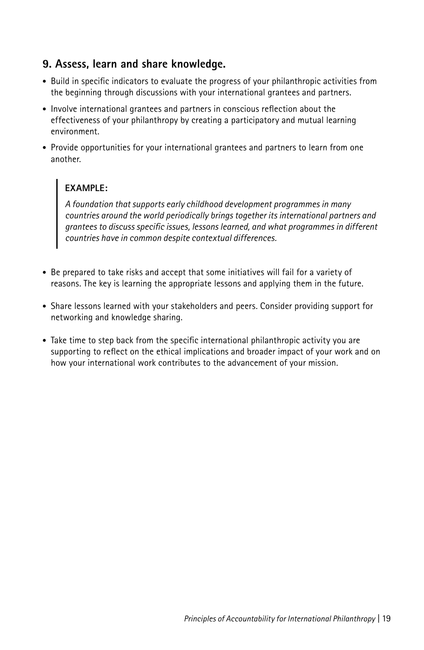## **9. Assess, learn and share knowledge.**

- Build in specific indicators to evaluate the progress of your philanthropic activities from the beginning through discussions with your international grantees and partners.
- Involve international grantees and partners in conscious reflection about the effectiveness of your philanthropy by creating a participatory and mutual learning environment.
- Provide opportunities for your international grantees and partners to learn from one another.

## **EXAMPLE:**

*A foundation that supports early childhood development programmes in many countries around the world periodically brings together its international partners and grantees to discuss specific issues, lessons learned, and what programmes in different countries have in common despite contextual differences.*

- Be prepared to take risks and accept that some initiatives will fail for a variety of reasons. The key is learning the appropriate lessons and applying them in the future.
- Share lessons learned with your stakeholders and peers. Consider providing support for networking and knowledge sharing.
- Take time to step back from the specific international philanthropic activity you are supporting to reflect on the ethical implications and broader impact of your work and on how your international work contributes to the advancement of your mission.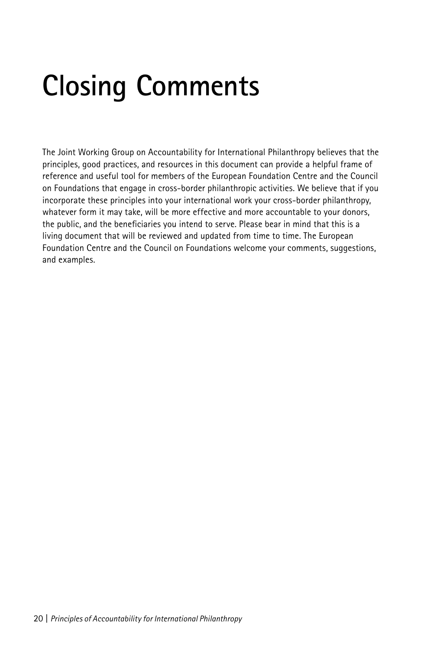# **Closing Comments**

The Joint Working Group on Accountability for International Philanthropy believes that the principles, good practices, and resources in this document can provide a helpful frame of reference and useful tool for members of the European Foundation Centre and the Council on Foundations that engage in cross-border philanthropic activities. We believe that if you incorporate these principles into your international work your cross-border philanthropy, whatever form it may take, will be more effective and more accountable to your donors, the public, and the beneficiaries you intend to serve. Please bear in mind that this is a living document that will be reviewed and updated from time to time. The European Foundation Centre and the Council on Foundations welcome your comments, suggestions, and examples.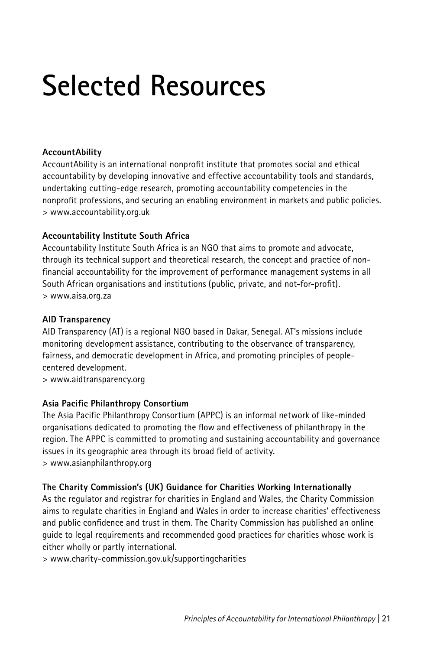# **Selected Resources**

#### **AccountAbility**

AccountAbility is an international nonprofit institute that promotes social and ethical accountability by developing innovative and effective accountability tools and standards, undertaking cutting-edge research, promoting accountability competencies in the nonprofit professions, and securing an enabling environment in markets and public policies. > www.accountability.org.uk

#### **Accountability Institute South Africa**

Accountability Institute South Africa is an NGO that aims to promote and advocate, through its technical support and theoretical research, the concept and practice of nonfinancial accountability for the improvement of performance management systems in all South African organisations and institutions (public, private, and not-for-profit). > www.aisa.org.za

#### **AID Transparency**

AID Transparency (AT) is a regional NGO based in Dakar, Senegal. AT's missions include monitoring development assistance, contributing to the observance of transparency, fairness, and democratic development in Africa, and promoting principles of peoplecentered development.

> www.aidtransparency.org

#### **Asia Pacific Philanthropy Consortium**

The Asia Pacific Philanthropy Consortium (APPC) is an informal network of like-minded organisations dedicated to promoting the flow and effectiveness of philanthropy in the region. The APPC is committed to promoting and sustaining accountability and governance issues in its geographic area through its broad field of activity. > www.asianphilanthropy.org

#### **The Charity Commission's (UK) Guidance for Charities Working Internationally**

As the regulator and registrar for charities in England and Wales, the Charity Commission aims to regulate charities in England and Wales in order to increase charities' effectiveness and public confidence and trust in them. The Charity Commission has published an online guide to legal requirements and recommended good practices for charities whose work is either wholly or partly international.

> www.charity-commission.gov.uk/supportingcharities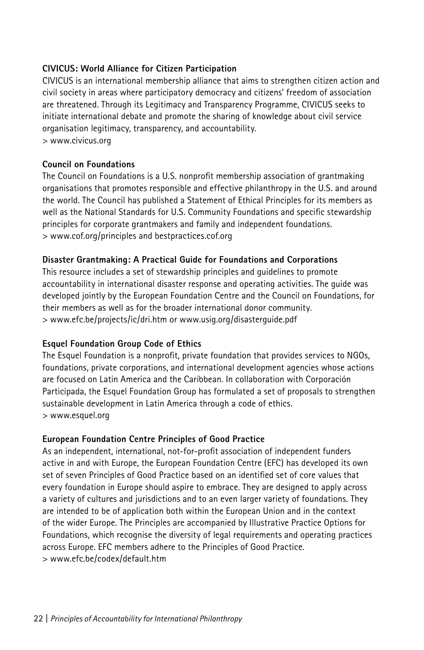#### **CIVICUS: World Alliance for Citizen Participation**

CIVICUS is an international membership alliance that aims to strengthen citizen action and civil society in areas where participatory democracy and citizens' freedom of association are threatened. Through its Legitimacy and Transparency Programme, CIVICUS seeks to initiate international debate and promote the sharing of knowledge about civil service organisation legitimacy, transparency, and accountability. > www.civicus.org

#### **Council on Foundations**

The Council on Foundations is a U.S. nonprofit membership association of grantmaking organisations that promotes responsible and effective philanthropy in the U.S. and around the world. The Council has published a Statement of Ethical Principles for its members as well as the National Standards for U.S. Community Foundations and specific stewardship principles for corporate grantmakers and family and independent foundations. > www.cof.org/principles and bestpractices.cof.org

#### **Disaster Grantmaking: A Practical Guide for Foundations and Corporations**

This resource includes a set of stewardship principles and guidelines to promote accountability in international disaster response and operating activities. The guide was developed jointly by the European Foundation Centre and the Council on Foundations, for their members as well as for the broader international donor community. > www.efc.be/projects/ic/dri.htm or www.usig.org/disasterguide.pdf

#### **Esquel Foundation Group Code of Ethics**

The Esquel Foundation is a nonprofit, private foundation that provides services to NGOs, foundations, private corporations, and international development agencies whose actions are focused on Latin America and the Caribbean. In collaboration with Corporación Participada, the Esquel Foundation Group has formulated a set of proposals to strengthen sustainable development in Latin America through a code of ethics. > www.esquel.org

#### **European Foundation Centre Principles of Good Practice**

As an independent, international, not-for-profit association of independent funders active in and with Europe, the European Foundation Centre (EFC) has developed its own set of seven Principles of Good Practice based on an identified set of core values that every foundation in Europe should aspire to embrace. They are designed to apply across a variety of cultures and jurisdictions and to an even larger variety of foundations. They are intended to be of application both within the European Union and in the context of the wider Europe. The Principles are accompanied by Illustrative Practice Options for Foundations, which recognise the diversity of legal requirements and operating practices across Europe. EFC members adhere to the Principles of Good Practice. > www.efc.be/codex/default.htm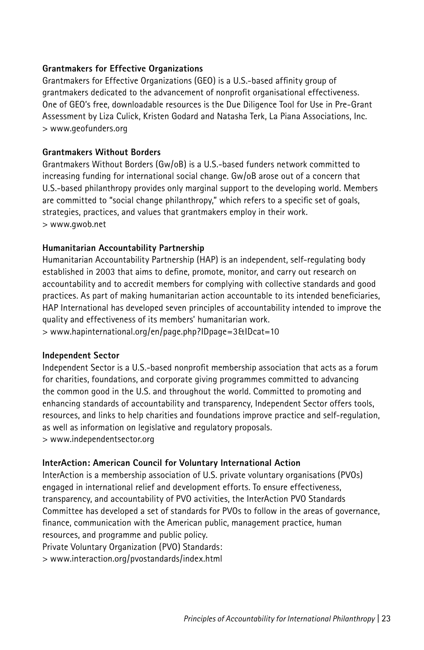#### **Grantmakers for Effective Organizations**

Grantmakers for Effective Organizations (GEO) is a U.S.-based affinity group of grantmakers dedicated to the advancement of nonprofit organisational effectiveness. One of GEO's free, downloadable resources is the Due Diligence Tool for Use in Pre-Grant Assessment by Liza Culick, Kristen Godard and Natasha Terk, La Piana Associations, Inc. > www.geofunders.org

#### **Grantmakers Without Borders**

Grantmakers Without Borders (Gw/oB) is a U.S.-based funders network committed to increasing funding for international social change. Gw/oB arose out of a concern that U.S.-based philanthropy provides only marginal support to the developing world. Members are committed to "social change philanthropy," which refers to a specific set of goals, strategies, practices, and values that grantmakers employ in their work. > www.gwob.net

#### **Humanitarian Accountability Partnership**

Humanitarian Accountability Partnership (HAP) is an independent, self-regulating body established in 2003 that aims to define, promote, monitor, and carry out research on accountability and to accredit members for complying with collective standards and good practices. As part of making humanitarian action accountable to its intended beneficiaries, HAP International has developed seven principles of accountability intended to improve the quality and effectiveness of its members' humanitarian work.

> www.hapinternational.org/en/page.php?IDpage=3&IDcat=10

#### **Independent Sector**

Independent Sector is a U.S.-based nonprofit membership association that acts as a forum for charities, foundations, and corporate giving programmes committed to advancing the common good in the U.S. and throughout the world. Committed to promoting and enhancing standards of accountability and transparency, Independent Sector offers tools, resources, and links to help charities and foundations improve practice and self-regulation, as well as information on legislative and regulatory proposals. > www.independentsector.org

#### **InterAction: American Council for Voluntary International Action**

InterAction is a membership association of U.S. private voluntary organisations (PVOs) engaged in international relief and development efforts. To ensure effectiveness, transparency, and accountability of PVO activities, the InterAction PVO Standards Committee has developed a set of standards for PVOs to follow in the areas of governance, finance, communication with the American public, management practice, human resources, and programme and public policy.

Private Voluntary Organization (PVO) Standards:

> www.interaction.org/pvostandards/index.html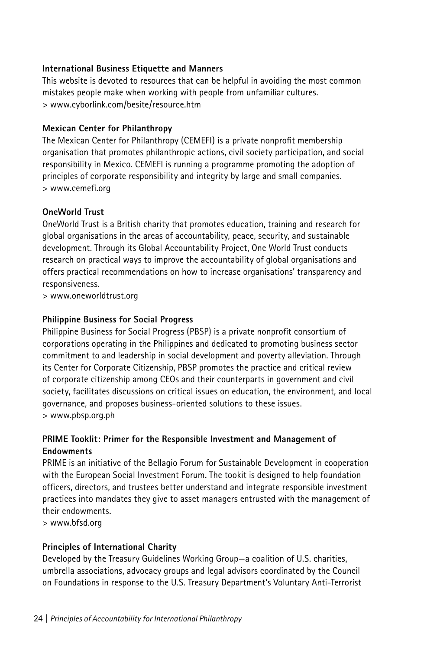#### **International Business Etiquette and Manners**

This website is devoted to resources that can be helpful in avoiding the most common mistakes people make when working with people from unfamiliar cultures. > www.cyborlink.com/besite/resource.htm

#### **Mexican Center for Philanthropy**

The Mexican Center for Philanthropy (CEMEFI) is a private nonprofit membership organisation that promotes philanthropic actions, civil society participation, and social responsibility in Mexico. CEMEFI is running a programme promoting the adoption of principles of corporate responsibility and integrity by large and small companies. > www.cemefi.org

#### **OneWorld Trust**

OneWorld Trust is a British charity that promotes education, training and research for global organisations in the areas of accountability, peace, security, and sustainable development. Through its Global Accountability Project, One World Trust conducts research on practical ways to improve the accountability of global organisations and offers practical recommendations on how to increase organisations' transparency and responsiveness.

> www.oneworldtrust.org

#### **Philippine Business for Social Progress**

Philippine Business for Social Progress (PBSP) is a private nonprofit consortium of corporations operating in the Philippines and dedicated to promoting business sector commitment to and leadership in social development and poverty alleviation. Through its Center for Corporate Citizenship, PBSP promotes the practice and critical review of corporate citizenship among CEOs and their counterparts in government and civil society, facilitates discussions on critical issues on education, the environment, and local governance, and proposes business-oriented solutions to these issues. > www.pbsp.org.ph

#### **PRIME Tooklit: Primer for the Responsible Investment and Management of Endowments**

PRIME is an initiative of the Bellagio Forum for Sustainable Development in cooperation with the European Social Investment Forum. The tookit is designed to help foundation officers, directors, and trustees better understand and integrate responsible investment practices into mandates they give to asset managers entrusted with the management of their endowments.

> www.bfsd.org

#### **Principles of International Charity**

Developed by the Treasury Guidelines Working Group—a coalition of U.S. charities, umbrella associations, advocacy groups and legal advisors coordinated by the Council on Foundations in response to the U.S. Treasury Department's Voluntary Anti-Terrorist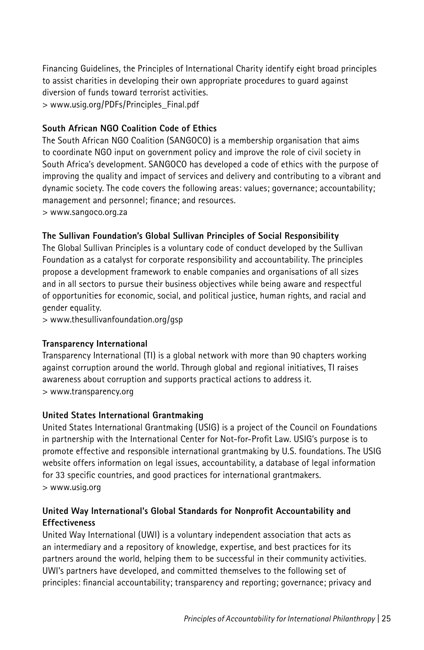Financing Guidelines, the Principles of International Charity identify eight broad principles to assist charities in developing their own appropriate procedures to guard against diversion of funds toward terrorist activities. > www.usig.org/PDFs/Principles\_Final.pdf

#### **South African NGO Coalition Code of Ethics**

The South African NGO Coalition (SANGOCO) is a membership organisation that aims to coordinate NGO input on government policy and improve the role of civil society in South Africa's development. SANGOCO has developed a code of ethics with the purpose of improving the quality and impact of services and delivery and contributing to a vibrant and dynamic society. The code covers the following areas: values; governance; accountability; management and personnel; finance; and resources.

> www.sangoco.org.za

#### **The Sullivan Foundation's Global Sullivan Principles of Social Responsibility**

The Global Sullivan Principles is a voluntary code of conduct developed by the Sullivan Foundation as a catalyst for corporate responsibility and accountability. The principles propose a development framework to enable companies and organisations of all sizes and in all sectors to pursue their business objectives while being aware and respectful of opportunities for economic, social, and political justice, human rights, and racial and gender equality.

> www.thesullivanfoundation.org/gsp

#### **Transparency International**

Transparency International (TI) is a global network with more than 90 chapters working against corruption around the world. Through global and regional initiatives, TI raises awareness about corruption and supports practical actions to address it. > www.transparency.org

#### **United States International Grantmaking**

United States International Grantmaking (USIG) is a project of the Council on Foundations in partnership with the International Center for Not-for-Profit Law. USIG's purpose is to promote effective and responsible international grantmaking by U.S. foundations. The USIG website offers information on legal issues, accountability, a database of legal information for 33 specific countries, and good practices for international grantmakers. > www.usig.org

#### **United Way International's Global Standards for Nonprofit Accountability and Effectiveness**

United Way International (UWI) is a voluntary independent association that acts as an intermediary and a repository of knowledge, expertise, and best practices for its partners around the world, helping them to be successful in their community activities. UWI's partners have developed, and committed themselves to the following set of principles: financial accountability; transparency and reporting; governance; privacy and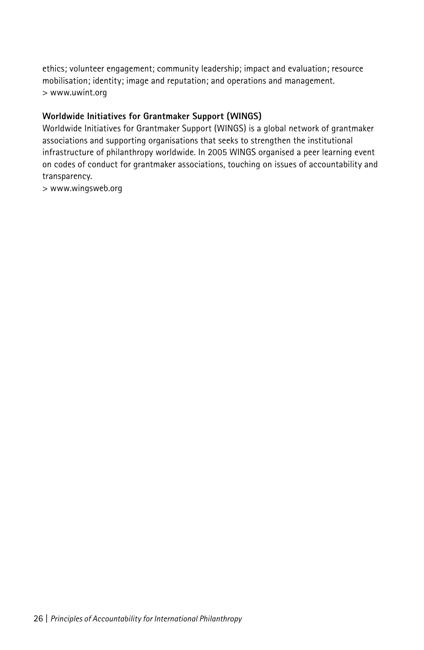ethics; volunteer engagement; community leadership; impact and evaluation; resource mobilisation; identity; image and reputation; and operations and management. > www.uwint.org

#### **Worldwide Initiatives for Grantmaker Support (WINGS)**

Worldwide Initiatives for Grantmaker Support (WINGS) is a global network of grantmaker associations and supporting organisations that seeks to strengthen the institutional infrastructure of philanthropy worldwide. In 2005 WINGS organised a peer learning event on codes of conduct for grantmaker associations, touching on issues of accountability and transparency.

> www.wingsweb.org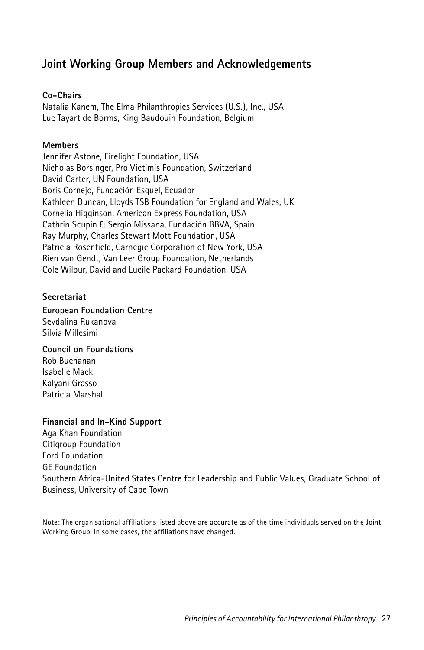## **Joint Working Group Members and Acknowledgements**

#### **Co-Chairs**

Natalia Kanem, The Elma Philanthropies Services (U.S.), Inc., USA Luc Tayart de Borms, King Baudouin Foundation, Belgium

#### **Members**

Jennifer Astone, Firelight Foundation, USA Nicholas Borsinger, Pro Victimis Foundation, Switzerland David Carter, UN Foundation, USA Boris Cornejo, Fundación Esquel, Ecuador Kathleen Duncan, Lloyds TSB Foundation for England and Wales, UK Cornelia Higginson, American Express Foundation, USA Cathrin Scupin & Sergio Missana, Fundación BBVA, Spain Ray Murphy, Charles Stewart Mott Foundation, USA Patricia Rosenfield, Carnegie Corporation of New York, USA Rien van Gendt, Van Leer Group Foundation, Netherlands Cole Wilbur, David and Lucile Packard Foundation, USA

#### **Secretariat**

**European Foundation Centre** Sevdalina Rukanova Silvia Millesimi

**Council on Foundations** Rob Buchanan Isabelle Mack Kalyani Grasso Patricia Marshall

#### **Financial and In-Kind Support**

Aga Khan Foundation Citigroup Foundation Ford Foundation GE Foundation Southern Africa-United States Centre for Leadership and Public Values, Graduate School of Business, University of Cape Town

Note: The organisational affiliations listed above are accurate as of the time individuals served on the Joint Working Group. In some cases, the affiliations have changed.